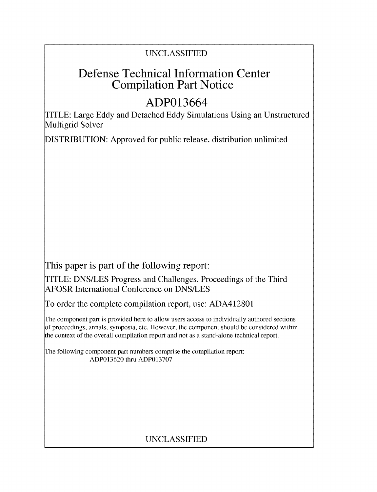# UNCLASSIFIED

# Defense Technical Information Center Compilation Part Notice

# **ADP013664**

TITLE: Large Eddy and Detached Eddy Simulations Using an Unstructured Multigrid Solver

DISTRIBUTION: Approved for public release, distribution unlimited

This paper is part of the following report:

TITLE: DNS/LES Progress and Challenges. Proceedings of the Third AFOSR International Conference on DNS/LES

To order the complete compilation report, use: ADA412801

The component part is provided here to allow users access to individually authored sections f proceedings, annals, symposia, etc. However, the component should be considered within the context of the overall compilation report and not as a stand-alone technical report.

The following component part numbers comprise the compilation report: ADP013620 thru ADP013707

# UNCLASSIFIED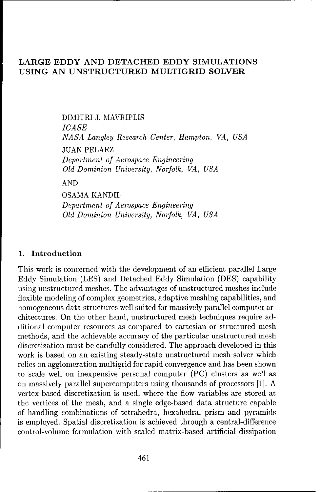## LARGE EDDY **AND DETACHED** EDDY SIMULATIONS **USING AN UNSTRUCTURED** MULTIGRID SOLVER

DIMITRI **J.** MAVRIPLIS *ICASE NASA Langley Research Center,* Hampton, *VA, USA* JUAN PELAEZ Department *of Aerospace* Engineering Old Dominion *University, Norfolk, VA, USA* AND

OSAMA KANDIL Department *of Aerospace* Engineering Old Dominion *University, Norfolk, VA, USA*

## 1. Introduction

This work is concerned with the development of an efficient parallel Large Eddy Simulation (LES) and Detached Eddy Simulation (DES) capability using unstructured meshes. The advantages of unstructured meshes include flexible modeling of complex geometries, adaptive meshing capabilities, and homogeneous data structures well suited for massively parallel computer architectures. On the other hand, unstructured mesh techniques require additional computer resources as compared to cartesian or structured mesh methods, and the achievable accuracy of the particular unstructured mesh discretization must be carefully considered. The approach developed in this work is based on an existing steady-state unstructured mesh solver which relies on agglomeration multigrid for rapid convergence and has been shown to scale well on inexpensive personal computer (PC) clusters as well as on massively parallel supercomputers using thousands of processors [1]. A vertex-based discretization is used, where the flow variables are stored at the vertices of the mesh, and a single edge-based data structure capable of handling combinations of tetrahedra, hexahedra, prism and pyramids is employed. Spatial discretization is achieved through a central-difference control-volume formulation with scaled matrix-based artificial dissipation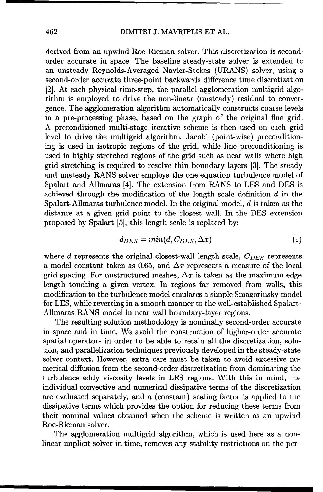derived from an upwind Roe-Rieman solver. This discretization is secondorder accurate in space. The baseline steady-state solver is extended to an unsteady Reynolds-Averaged Navier-Stokes (URANS) solver, using a second-order accurate three-point backwaxds difference time discretization [2]. At each physical time-step, the parallel agglomeration multigrid algorithm is employed to drive the non-linear (unsteady) residual to convergence. The agglomeration algorithm automatically constructs coarse levels in a pre-processing phase, based on the graph of the original fine grid. A preconditioned multi-stage iterative scheme is then used on each grid level to drive the multigrid algorithm. Jacobi (point-wise) preconditioning is used in isotropic regions of the grid, while line preconditioning is used in highly stretched regions of the grid such as near walls where high grid stretching is required to resolve thin boundary layers [3]. The steady and unsteady RANS solver employs the one equation turbulence model of Spalart and Allmaras [4]. The extension from RANS to LES and DES is achieved through the modification of the length scale definition  $d$  in the Spalart-Allmaras turbulence model. In the original model,  $d$  is taken as the distance at a given grid point to the closest wall. In the DES extension proposed by Spalart [5], this length scale is replaced by:

$$
d_{DES} = min(d, C_{DES}, \Delta x) \tag{1}
$$

where  $d$  represents the original closest-wall length scale,  $C_{DES}$  represents a model constant taken as 0.65, and  $\Delta x$  represents a measure of the local grid spacing. For unstructured meshes,  $\Delta x$  is taken as the maximum edge length touching a given vertex. In regions far removed from walls, this modification to the turbulence model emulates a simple Smagorinsky model for LES, while reverting in a smooth manner to the well-established Spalart-Allmaras RANS model in near wall boundary-layer regions.

The resulting solution methodology is nominally second-order accurate in space and in time. We avoid the construction of higher-order accurate spatial operators in order to be able to retain all the discretization, solution, and parallelization techniques previously developed in the steady-state solver context. However, extra care must be taken to avoid excessive numerical diffusion from the second-order discretization from dominating the turbulence eddy viscosity levels in LES regions. With this in mind, the individual convective and numerical dissipative terms of the discretization are evaluated separately, and a (constant) scaling factor is applied to the dissipative terms which provides the option for reducing these terms from their nominal values obtained when the scheme is written as an upwind Roe-Rieman solver.

The agglomeration multigrid algorithm, which is used here as a nonlinear implicit solver in time, removes any stability restrictions on the per-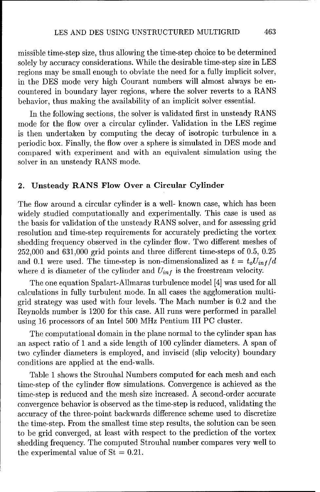missible time-step size, thus allowing the time-step choice to be determined solely by accuracy considerations. While the desirable time-step size in LES regions may be small enough to obviate the need for a fully implicit solver, in the DES mode very high Courant numbers will almost always be encountered in boundary layer regions, where the solver reverts to a RANS behavior, thus making the availability of an implicit solver essential.

In the following sections, the solver is validated first in unsteady RANS mode for the flow over a circular cylinder. Validation in the LES regime is then undertaken by computing the decay of isotropic turbulence in a periodic box. Finally, the flow over a sphere is simulated in DES mode and compared with experiment and with an equivalent simulation using the solver in an unsteady RANS mode.

## 2. Unsteady RANS Flow Over a Circular Cylinder

The flow around a circular cylinder is a well- known case, which has been widely studied computationally and experimentally. This case is used as the basis for validation of the unsteady RANS solver, and for assessing grid resolution and time-step requirements for accurately predicting the vortex shedding frequency observed in the cylinder flow. Two different meshes of 252,000 and 631,000 grid points and three different time-steps of 0.5, 0.25 and 0.1 were used. The time-step is non-dimensionalized as  $t = t_0 U_{inf}/d$ where d is diameter of the cylinder and  $U_{inf}$  is the freestream velocity.

The one equation Spalart-Allmaras turbulence model [4] was used for all calculations in fully turbulent mode. In all cases the agglomeration multigrid strategy was used with four levels. The Mach number is 0.2 and the Reynolds number is 1200 for this case. All runs were performed in parallel using 16 processors of an Intel 500 MHz Pentium III PC cluster.

The computational domain in the plane normal to the cylinder span has an aspect ratio of 1 and a side length of 100 cylinder diameters. A span of two cylinder diameters is employed, and inviscid (slip velocity) boundary conditions are applied at the end-walls.

Table 1 shows the Strouhal Numbers computed for each mesh and each time-step of the cylinder flow simulations. Convergence is achieved as the time-step is reduced and the mesh size increased. A second-order accurate convergence behavior is observed as the time-step is reduced, validating the accuracy of the three-point backwards difference scheme used to discretize the time-step. From the smallest time step results, the solution can be seen to be grid converged, at least with respect to the prediction of the vortex shedding frequency. The computed Strouhal number compares very well to the experimental value of  $St = 0.21$ .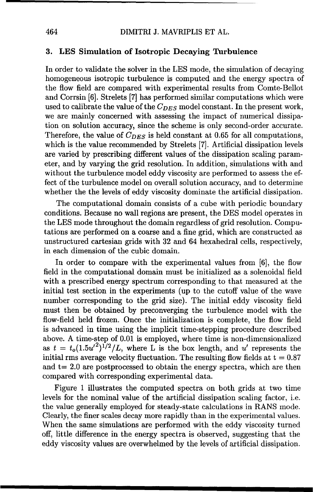#### 464 DIMITRI J. MAVRIPLIS ET AL.

#### 3. LES Simulation of Isotropic Decaying Turbulence

In order to validate the solver in the LES mode, the simulation of decaying homogeneous isotropic turbulence is computed and the energy spectra of the flow field are compared with experimental results from Comte-Bellot and Corrsin [6]. Strelets [7] has performed similar computations which were used to calibrate the value of the  $C_{DES}$  model constant. In the present work, we are mainly concerned with assessing the impact of numerical dissipation on solution accuracy, since the scheme is only second-order accurate. Therefore, the value of  $C_{DES}$  is held constant at 0.65 for all computations, which is the value recommended by Strelets [7]. Artificial dissipation levels are varied by prescribing different values of the dissipation scaling parameter, and by varying the grid resolution. In addition, simulations with and without the turbulence model eddy viscosity are performed to assess the effect of the turbulence model on overall solution accuracy, and to determine whether the the levels of eddy viscosity dominate the artificial dissipation.

The computational domain consists of a cube with periodic boundary conditions. Because no wall regions are present, the DES model operates in the LES mode throughout the domain regardless of grid resolution. Computations axe performed on a coarse and a fine grid, which are constructed as unstructured cartesian grids with 32 and 64 hexahedral cells, respectively, in each dimension of the cubic domain.

In order to compare with the experimental values from [6], the flow field in the computational domain must be initialized as a solenoidal field with a prescribed energy spectrum corresponding to that measured at the initial test section in the experiments (up to the cutoff value of the wave number corresponding to the grid size). The initial eddy viscosity field must then be obtained by preconverging the turbulence model with the flow-field held frozen. Once the initialization is complete, the flow field is advanced in time using the implicit time-stepping procedure described above. A time-step of 0.01 is employed, where time is non-dimensionalized as  $t = t_o(1.5u^2)^{1/2}/L$ , where L is the box length, and u' represents the initial rms average velocity fluctuation. The resulting flow fields at  $t = 0.87$ and  $t= 2.0$  are postprocessed to obtain the energy spectra, which are then compared with corresponding experimental data.

Figure 1 illustrates the computed spectra on both grids at two time levels for the nominal value of the artificial dissipation scaling factor, i.e. the value generally employed for steady-state calculations in RANS mode. Clearly, the finer scales decay more rapidly than in the experimental values. When the same simulations are performed with the eddy viscosity turned off, little difference in the energy spectra is observed, suggesting that the eddy viscosity values are overwhelmed by the levels of artificial dissipation.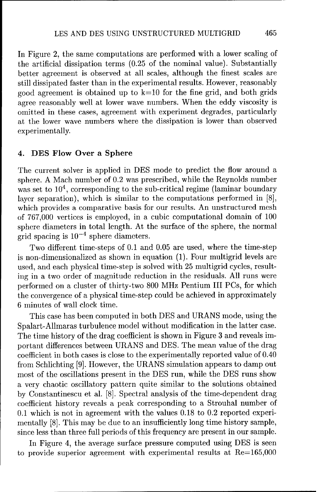In Figure 2, the same computations are performed with a lower scaling of the artificial dissipation terms (0.25 of the nominal value). Substantially better agreement is observed at all scales, although the finest scales are still dissipated faster than in the experimental results. However, reasonably good agreement is obtained up to  $k=10$  for the fine grid, and both grids agree reasonably well at lower wave numbers. When the eddy viscosity is omitted in these cases, agreement with experiment degrades, particularly at the lower wave numbers where the dissipation is lower than observed experimentally.

#### 4. **DES** Flow Over a Sphere

The current solver is applied in DES mode to predict the flow around a sphere. A Mach number of 0.2 was prescribed, while the Reynolds number was set to  $10^4$ , corresponding to the sub-critical regime (laminar boundary layer separation), which is similar to the computations performed in [8], which provides a comparative basis for our results. An unstructured mesh of 767,000 vertices is employed, in a cubic computational domain of 100 sphere diameters in total length. At the surface of the sphere, the normal grid spacing is  $10^{-4}$  sphere diameters.

Two different time-steps of 0.1 and 0.05 are used, where the time-step is non-dimensionalized as shown in equation (1). Four multigrid levels are used, and each physical time-step is solved with 25 multigrid cycles, resulting in a two order of magnitude reduction in the residuals. All runs were performed on a cluster of thirty-two 800 MHz Pentium III PCs, for which the convergence of a physical time-step could be achieved in approximately 6 minutes of wall clock time.

This case has been computed in both DES and URANS mode, using the Spalart-Allmaras turbulence model without modification in the latter case. The time history of the drag coefficient is shown in Figure 3 and reveals important differences between URANS and DES. The mean value of the drag coefficient in both cases is close to the experimentally reported value of 0.40 from Schlichting [9]. However, the URANS simulation appears to damp out most of the oscillations present in the DES run, while the DES runs show a very chaotic oscillatory pattern quite similar to the solutions obtained by Constantinescu et al. [8]. Spectral analysis of the time-dependent drag coefficient history reveals a peak corresponding to a Strouhal number of 0.1 which is not in agreement with the values 0.18 to 0.2 reported experimentally [8]. This may be due to an insufficiently long time history sample, since less than three full periods of this frequency are present in our sample.

In Figure 4, the average surface pressure computed using DES is seen to provide superior agreement with experimental results at Re=165,000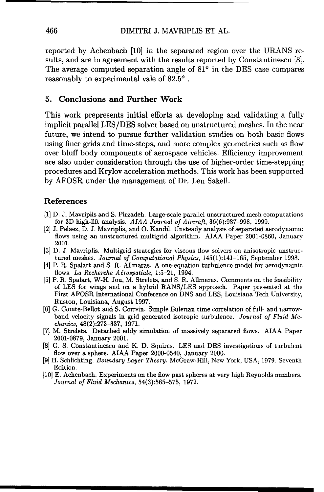reported by Achenbach [10] in the separated region over the URANS results, and are in agreement with the results reported by Constantinescu [8]. The average computed separation angle of  $81^\circ$  in the DES case compares reasonably to experimental vale of 82.5' **.**

#### 5. Conclusions and Further Work

This work prepresents initial efforts at developing and validating a fully implicit parallel LES/DES solver based on unstructured meshes. In the near future, we intend to pursue further validation studies on both basic flows using finer grids and time-steps, and more complex geometries such as flow over bluff body components of aerospace vehicles. Efficiency improvement are also under consideration through the use of higher-order time-stepping procedures and Krylov acceleration methods. This work has been supported by AFOSR under the management of Dr. Len Sakell.

### References

- [1] D. J. Mavriplis and S. Pirzadeh. Large-scale parallel unstructured mesh computations for 3D high-lift analysis. AIAA Journal of Aircraft, 36(6):987-998, 1999.
- [2] J. Pelaez, D. J. Mavriplis, and **0.** Kandil. Unsteady analysis of separated aerodynamic flows using an unstructured multigrid algorithm. AIAA Paper 2001-0860, January 2001.
- [3] D. J. Mavriplis. Multigrid strategies for viscous flow solvers on anisotropic unstructured meshes. Journal of Computational Physics, 145(1):141-165, September 1998.
- [4] P. R. Spalart and **S.** R. Allmaras. A one-equation turbulence model for aerodynamic flows. La Recherche *Adrospatiale,* 1:5-21, 1994.
- [5] P. R. Spalart, W-H. Jou, M. Strelets, and S. R. Allmaras. Comments on the feasibility of LES for wings and on a hybrid RANS/LES approach. Paper presented at the First AFOSR International Conference on DNS and LES, Louisiana Tech University, Ruston, Louisiana, August 1997.
- [6] G. Comte-Bellot and S. Corrsin. Simple Eulerian time correlation of full- and narrowband velocity signals in grid generated isotropic turbulence. Journal *of Fluid Me*chanics, 48(2):273-337, 1971.
- [7] M. Strelets. Detached eddy simulation of massively separated flows. AIAA Paper 2001-0879, January 2001.
- [8] G. S. Constantinescu and K. D. Squires. LES and DES investigations of turbulent flow over a sphere. AIAA Paper 2000-0540, January 2000.
- [9] H. Schlichting. Boundary Layer Theory. McGraw-Hill, New York, USA, 1979. Seventh Edition.
- [10] E. Achenbach. Experiments on the flow past spheres at very high Reynolds numbers. Journal of *Fluid* Mechanics, 54(3):565-575, 1972.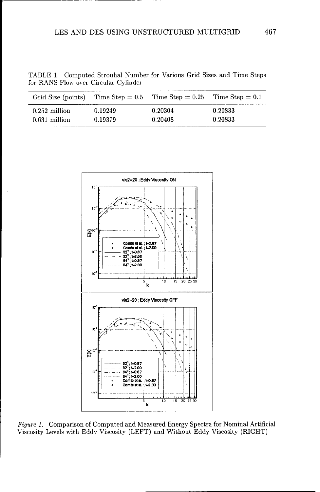TABLE 1. Computed Strouhal Number for Various Grid Sizes and Time Steps for RANS Flow over Circular Cylinder

| Grid Size (points) |         | Time Step = $0.5$ Time Step = $0.25$ Time Step = $0.1$ |         |
|--------------------|---------|--------------------------------------------------------|---------|
| $0.252$ million    | 0.19249 | 0.20304                                                | 0.20833 |
| $0.631$ million    | 0.19379 | 0.20408                                                | 0.20833 |



Figure 1. Comparison of Computed and Measured Energy Spectra for Nominal Artificial Viscosity Levels with Eddy Viscosity (LEFT) and Without Eddy Viscosity (RIGHT)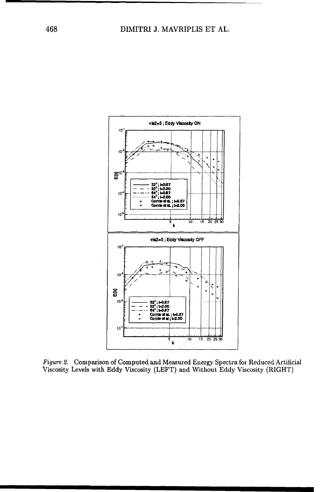

Figure 2. Comparison of Computed and Measured Energy Spectra for Reduced Artificial Viscosity Levels with Eddy Viscosity (LEFT) and Without Eddy Viscosity (RIGHT)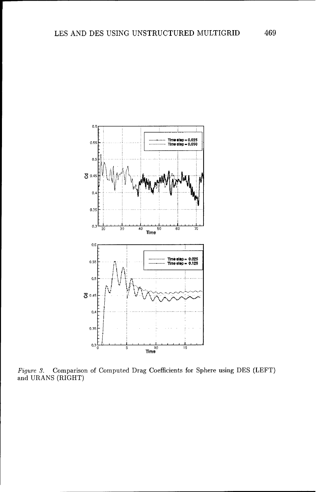

 $Figure~3.$  Comparison of Computed Drag Coefficients for Sphere using DES (LEFT) and URANS (RIGHT)